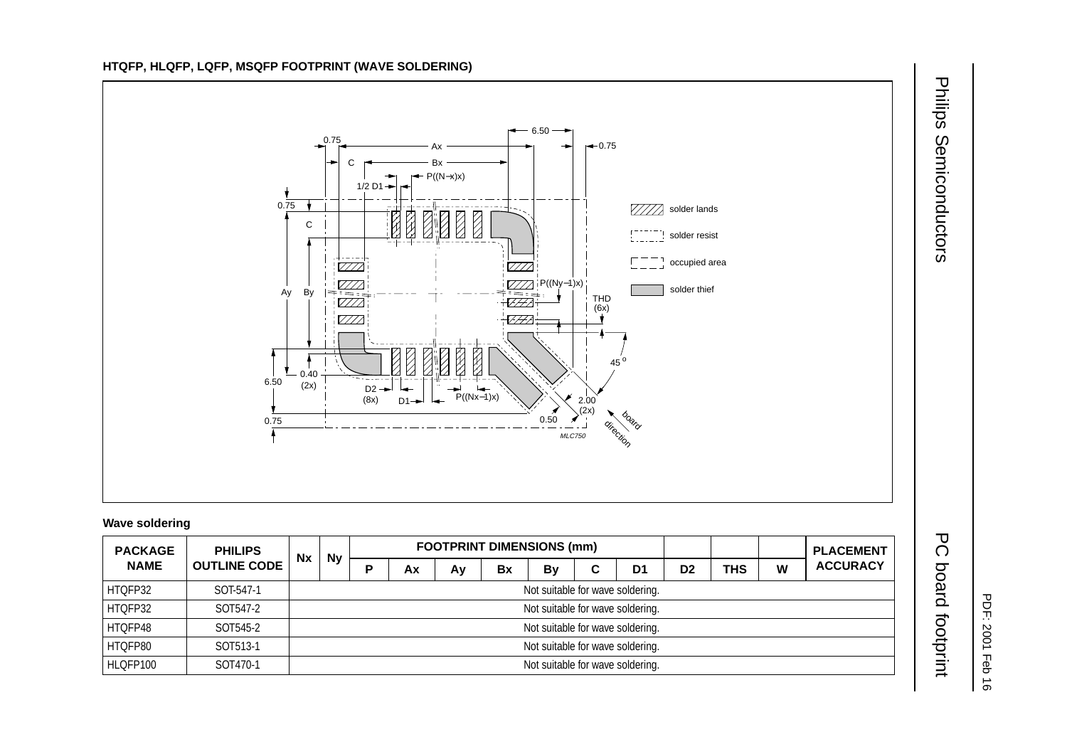

## **Wave soldering**

| <b>PACKAGE</b><br><b>NAME</b> | <b>PHILIPS</b><br><b>OUTLINE CODE</b> | <b>Nx</b> |                                  | <b>FOOTPRINT DIMENSIONS (mm)</b> |    |    |    |           |   |    |                |     |   | <b>PLACEMENT</b> |
|-------------------------------|---------------------------------------|-----------|----------------------------------|----------------------------------|----|----|----|-----------|---|----|----------------|-----|---|------------------|
|                               |                                       |           | <b>Ny</b>                        |                                  | Аx | Av | Bx | <b>By</b> | С | D1 | D <sub>2</sub> | THS | W | <b>ACCURACY</b>  |
| HTQFP32                       | SOT-547-1                             |           | Not suitable for wave soldering. |                                  |    |    |    |           |   |    |                |     |   |                  |
| HTQFP32                       | SOT547-2                              |           | Not suitable for wave soldering. |                                  |    |    |    |           |   |    |                |     |   |                  |
| HTQFP48                       | SOT545-2                              |           | Not suitable for wave soldering. |                                  |    |    |    |           |   |    |                |     |   |                  |
| HTQFP80                       | SOT513-1                              |           | Not suitable for wave soldering. |                                  |    |    |    |           |   |    |                |     |   |                  |
| HLQFP100                      | SOT470-1                              |           | Not suitable for wave soldering. |                                  |    |    |    |           |   |    |                |     |   |                  |

Philips Philips Semiconductors PC board footprint Semiconductors

PDF: 2001 Feb 16

PDF: 2001 Feb 16